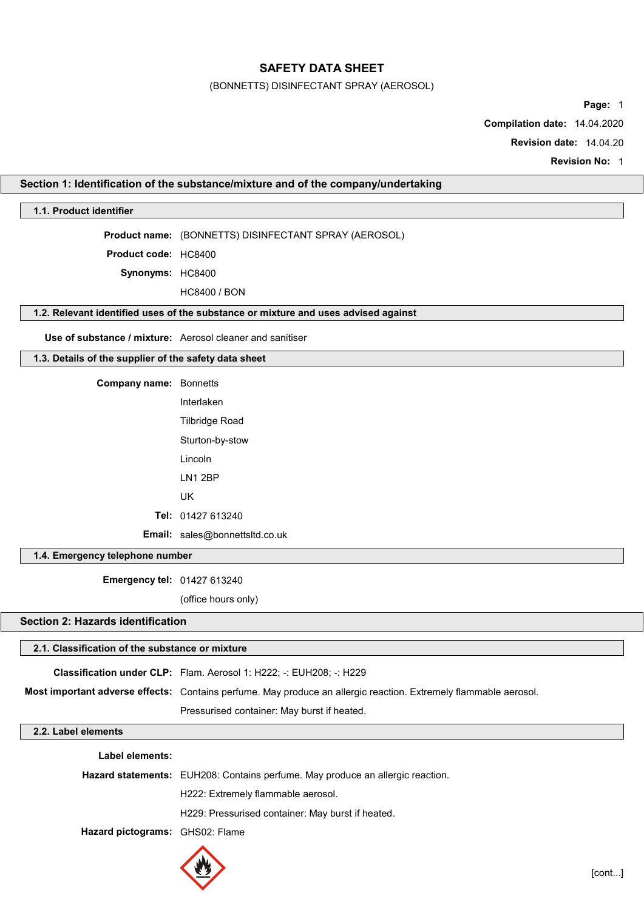(BONNETTS) DISINFECTANT SPRAY (AEROSOL)

Page: 1

Compilation date: 14.04.2020

Revision date: 14.04.20

Revision No: 1

## Section 1: Identification of the substance/mixture and of the company/undertaking

## 1.1. Product identifier

Product name: (BONNETTS) DISINFECTANT SPRAY (AEROSOL)

Product code: HC8400

Synonyms: HC8400

HC8400 / BON

## 1.2. Relevant identified uses of the substance or mixture and uses advised against

Use of substance / mixture: Aerosol cleaner and sanitiser

## 1.3. Details of the supplier of the safety data sheet

| <b>Company name: Bonnetts</b> |                                       |
|-------------------------------|---------------------------------------|
|                               | Interlaken                            |
|                               | Tilbridge Road                        |
|                               | Sturton-by-stow                       |
|                               | Lincoln                               |
|                               | I N1 2BP                              |
|                               | UK                                    |
|                               | Tel: 01427 613240                     |
|                               | <b>Email:</b> sales@bonnettsltd.co.uk |

## 1.4. Emergency telephone number

Emergency tel: 01427 613240

(office hours only)

## Section 2: Hazards identification

#### 2.1. Classification of the substance or mixture

Classification under CLP: Flam. Aerosol 1: H222; -: EUH208; -: H229

Most important adverse effects: Contains perfume. May produce an allergic reaction. Extremely flammable aerosol.

Pressurised container: May burst if heated.

#### 2.2. Label elements

| Label elements:                 |                                                                                |
|---------------------------------|--------------------------------------------------------------------------------|
|                                 | Hazard statements: EUH208: Contains perfume. May produce an allergic reaction. |
|                                 | H222: Extremely flammable aerosol.                                             |
|                                 | H229: Pressurised container: May burst if heated.                              |
| Hazard pictograms: GHS02: Flame |                                                                                |
|                                 |                                                                                |

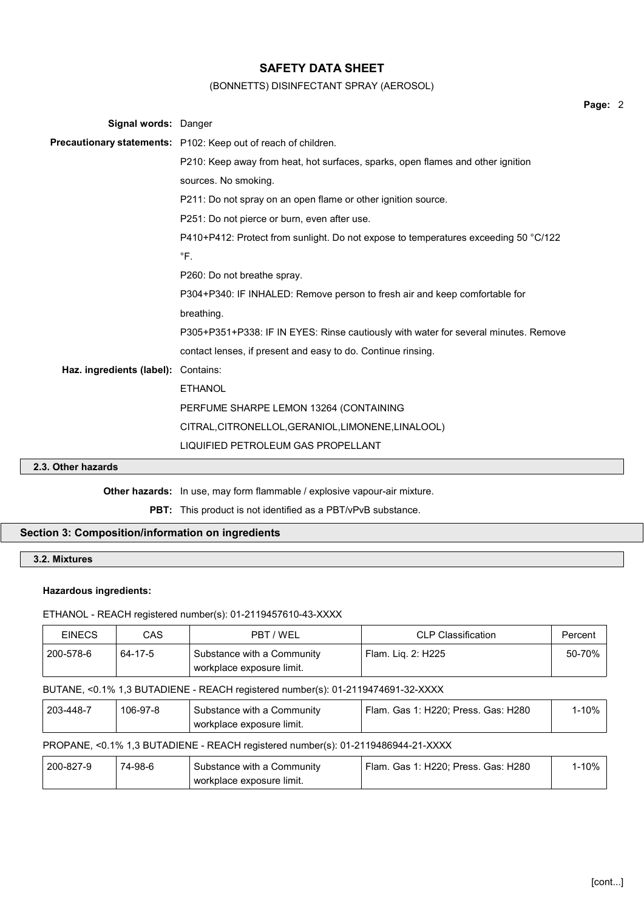## (BONNETTS) DISINFECTANT SPRAY (AEROSOL)

| Signal words: Danger                |                                                                                     |
|-------------------------------------|-------------------------------------------------------------------------------------|
|                                     | Precautionary statements: P102: Keep out of reach of children.                      |
|                                     | P210: Keep away from heat, hot surfaces, sparks, open flames and other ignition     |
|                                     | sources. No smoking.                                                                |
|                                     | P211: Do not spray on an open flame or other ignition source.                       |
|                                     | P251: Do not pierce or burn, even after use.                                        |
|                                     | P410+P412: Protect from sunlight. Do not expose to temperatures exceeding 50 °C/122 |
|                                     | $\mathrm{P}$ F.                                                                     |
|                                     | P260: Do not breathe spray.                                                         |
|                                     | P304+P340: IF INHALED: Remove person to fresh air and keep comfortable for          |
|                                     | breathing.                                                                          |
|                                     | P305+P351+P338: IF IN EYES: Rinse cautiously with water for several minutes. Remove |
|                                     | contact lenses, if present and easy to do. Continue rinsing.                        |
| Haz. ingredients (label): Contains: |                                                                                     |
|                                     | <b>ETHANOL</b>                                                                      |
|                                     | PERFUME SHARPE LEMON 13264 (CONTAINING                                              |
|                                     | CITRAL, CITRONELLOL, GERANIOL, LIMONENE, LINALOOL)                                  |
|                                     | LIQUIFIED PETROLEUM GAS PROPELLANT                                                  |

## 2.3. Other hazards

Other hazards: In use, may form flammable / explosive vapour-air mixture.

PBT: This product is not identified as a PBT/vPvB substance.

# Section 3: Composition/information on ingredients

## 3.2. Mixtures

## Hazardous ingredients:

## ETHANOL - REACH registered number(s): 01-2119457610-43-XXXX

| <b>EINECS</b> | CAS      | PBT / WEL                                                                        | <b>CLP Classification</b>           | Percent   |
|---------------|----------|----------------------------------------------------------------------------------|-------------------------------------|-----------|
| 200-578-6     | 64-17-5  | Substance with a Community<br>workplace exposure limit.                          | Flam. Lig. 2: H225                  | 50-70%    |
|               |          | BUTANE, <0.1% 1,3 BUTADIENE - REACH registered number(s): 01-2119474691-32-XXXX  |                                     |           |
| 203-448-7     | 106-97-8 | Substance with a Community<br>workplace exposure limit.                          | Flam. Gas 1: H220; Press. Gas: H280 | $1 - 10%$ |
|               |          | PROPANE, <0.1% 1,3 BUTADIENE - REACH registered number(s): 01-2119486944-21-XXXX |                                     |           |
| 200-827-9     | 74-98-6  | Substance with a Community<br>workplace exposure limit.                          | Flam. Gas 1: H220; Press. Gas: H280 | $1 - 10%$ |

Page: 2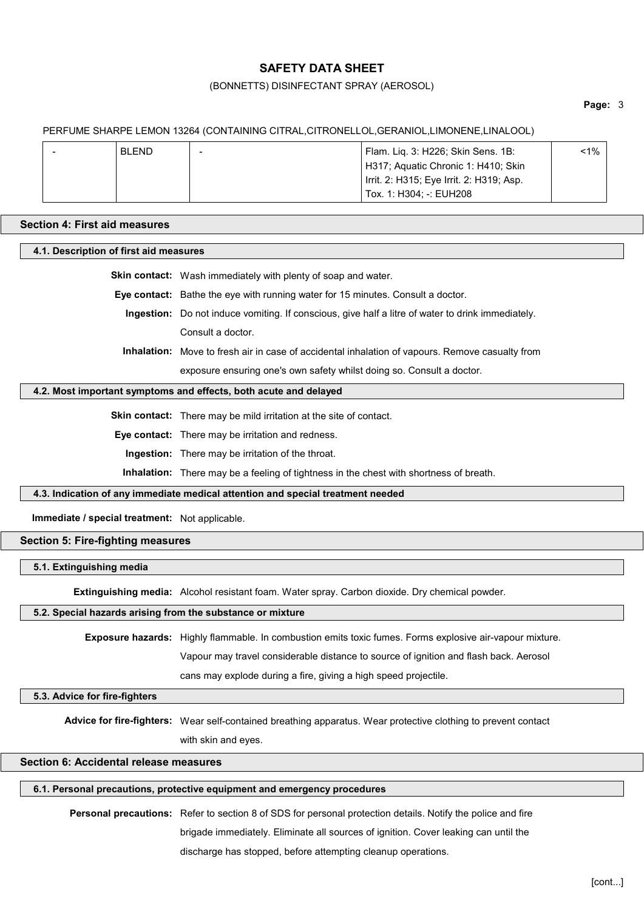### (BONNETTS) DISINFECTANT SPRAY (AEROSOL)

#### Page: 3

#### PERFUME SHARPE LEMON 13264 (CONTAINING CITRAL,CITRONELLOL,GERANIOL,LIMONENE,LINALOOL)

| $\overline{\phantom{a}}$ | <b>BLEND</b> | Flam. Lig. 3: H226; Skin Sens. 1B:       | <1% |
|--------------------------|--------------|------------------------------------------|-----|
|                          |              | H317; Aquatic Chronic 1: H410; Skin      |     |
|                          |              | Irrit. 2: H315; Eye Irrit. 2: H319; Asp. |     |
|                          |              | Tox. 1: H304: -: EUH208                  |     |

#### Section 4: First aid measures

#### 4.1. Description of first aid measures

Skin contact: Wash immediately with plenty of soap and water.

Eye contact: Bathe the eye with running water for 15 minutes. Consult a doctor.

Ingestion: Do not induce vomiting. If conscious, give half a litre of water to drink immediately. Consult a doctor.

Inhalation: Move to fresh air in case of accidental inhalation of vapours. Remove casualty from exposure ensuring one's own safety whilst doing so. Consult a doctor.

#### 4.2. Most important symptoms and effects, both acute and delayed

Skin contact: There may be mild irritation at the site of contact.

Eye contact: There may be irritation and redness.

Ingestion: There may be irritation of the throat.

Inhalation: There may be a feeling of tightness in the chest with shortness of breath.

#### 4.3. Indication of any immediate medical attention and special treatment needed

Immediate / special treatment: Not applicable.

## Section 5: Fire-fighting measures

#### 5.1. Extinguishing media

Extinguishing media: Alcohol resistant foam. Water spray. Carbon dioxide. Dry chemical powder.

#### 5.2. Special hazards arising from the substance or mixture

Exposure hazards: Highly flammable. In combustion emits toxic fumes. Forms explosive air-vapour mixture.

Vapour may travel considerable distance to source of ignition and flash back. Aerosol

cans may explode during a fire, giving a high speed projectile.

#### 5.3. Advice for fire-fighters

Advice for fire-fighters: Wear self-contained breathing apparatus. Wear protective clothing to prevent contact

with skin and eyes.

## Section 6: Accidental release measures

## 6.1. Personal precautions, protective equipment and emergency procedures

Personal precautions: Refer to section 8 of SDS for personal protection details. Notify the police and fire

brigade immediately. Eliminate all sources of ignition. Cover leaking can until the

discharge has stopped, before attempting cleanup operations.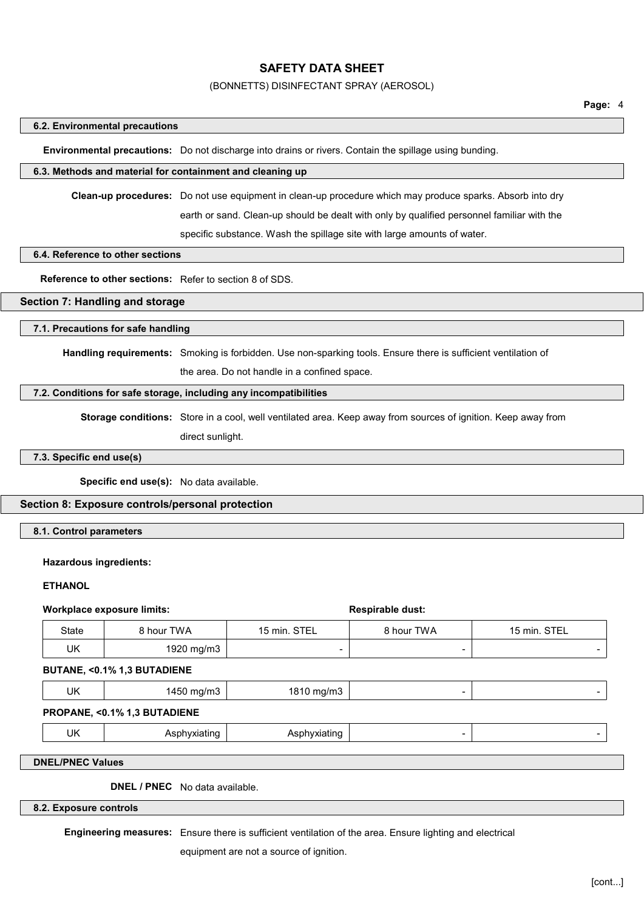#### (BONNETTS) DISINFECTANT SPRAY (AEROSOL)

#### 6.2. Environmental precautions

Environmental precautions: Do not discharge into drains or rivers. Contain the spillage using bunding.

#### 6.3. Methods and material for containment and cleaning up

Clean-up procedures: Do not use equipment in clean-up procedure which may produce sparks. Absorb into dry

earth or sand. Clean-up should be dealt with only by qualified personnel familiar with the

specific substance. Wash the spillage site with large amounts of water.

## 6.4. Reference to other sections

Reference to other sections: Refer to section 8 of SDS.

## Section 7: Handling and storage

## 7.1. Precautions for safe handling

Handling requirements: Smoking is forbidden. Use non-sparking tools. Ensure there is sufficient ventilation of

the area. Do not handle in a confined space.

#### 7.2. Conditions for safe storage, including any incompatibilities

Storage conditions: Store in a cool, well ventilated area. Keep away from sources of ignition. Keep away from direct sunlight.

#### 7.3. Specific end use(s)

Specific end use(s): No data available.

## Section 8: Exposure controls/personal protection

8.1. Control parameters

#### Hazardous ingredients:

#### **ETHANOL**

#### Workplace exposure limits:  $\blacksquare$

| __    | ___        |              |            |              |
|-------|------------|--------------|------------|--------------|
| State | } hour TWA | 15 min. STEL | 8 hour TWA | 15 min. STEL |
| UK    | 1920 mg/m3 | -            |            |              |

#### BUTANE, <0.1% 1,3 BUTADIENE

| UK<br>$\sim$ $\sim$<br>$ma/m$ :<br>.na/r<br>⊣ ∧ ا<br>טו<br>___<br>$\sim$ |
|--------------------------------------------------------------------------|
|--------------------------------------------------------------------------|

#### PROPANE, <0.1% 1,3 BUTADIENE

| J٢ |
|----|
|----|

## DNEL/PNEC Values

DNEL / PNEC No data available.

8.2. Exposure controls

Engineering measures: Ensure there is sufficient ventilation of the area. Ensure lighting and electrical

equipment are not a source of ignition.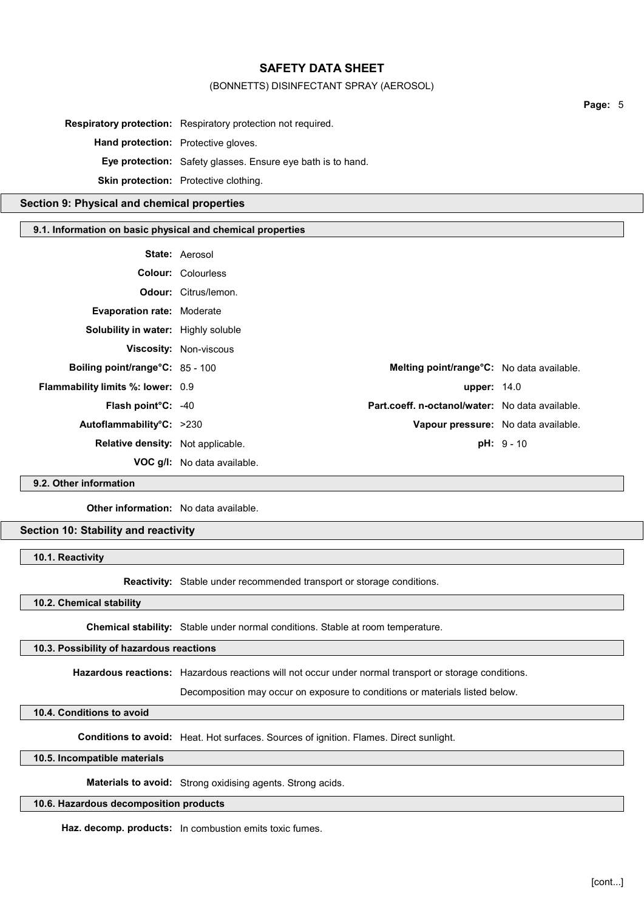### (BONNETTS) DISINFECTANT SPRAY (AEROSOL)

|                                                            |                                                                     |                                                 | Page: 5 |  |
|------------------------------------------------------------|---------------------------------------------------------------------|-------------------------------------------------|---------|--|
|                                                            | <b>Respiratory protection:</b> Respiratory protection not required. |                                                 |         |  |
| Hand protection: Protective gloves.                        |                                                                     |                                                 |         |  |
|                                                            | <b>Eye protection:</b> Safety glasses. Ensure eye bath is to hand.  |                                                 |         |  |
|                                                            | Skin protection: Protective clothing.                               |                                                 |         |  |
| Section 9: Physical and chemical properties                |                                                                     |                                                 |         |  |
| 9.1. Information on basic physical and chemical properties |                                                                     |                                                 |         |  |
|                                                            | State: Aerosol                                                      |                                                 |         |  |
|                                                            | <b>Colour: Colourless</b>                                           |                                                 |         |  |
|                                                            | <b>Odour:</b> Citrus/lemon.                                         |                                                 |         |  |
| <b>Evaporation rate: Moderate</b>                          |                                                                     |                                                 |         |  |
| <b>Solubility in water:</b> Highly soluble                 |                                                                     |                                                 |         |  |
|                                                            | <b>Viscosity: Non-viscous</b>                                       |                                                 |         |  |
| Boiling point/range°C: 85 - 100                            |                                                                     | Melting point/range°C: No data available.       |         |  |
| Flammability limits %: lower: 0.9                          |                                                                     | <b>upper: 14.0</b>                              |         |  |
| Flash point°C: -40                                         |                                                                     | Part.coeff. n-octanol/water: No data available. |         |  |

Autoflammability°C: >230 Vapour pressure: No data available. Relative density: Not applicable. **pH: 9 - 10**  $pH: 9 - 10$ VOC g/l: No data available.

# 9.2. Other information

Other information: No data available.

## Section 10: Stability and reactivity

10.1. Reactivity

Reactivity: Stable under recommended transport or storage conditions.

10.2. Chemical stability

Chemical stability: Stable under normal conditions. Stable at room temperature.

### 10.3. Possibility of hazardous reactions

Hazardous reactions: Hazardous reactions will not occur under normal transport or storage conditions.

Decomposition may occur on exposure to conditions or materials listed below.

## 10.4. Conditions to avoid

Conditions to avoid: Heat. Hot surfaces. Sources of ignition. Flames. Direct sunlight.

10.5. Incompatible materials

Materials to avoid: Strong oxidising agents. Strong acids.

#### 10.6. Hazardous decomposition products

Haz. decomp. products: In combustion emits toxic fumes.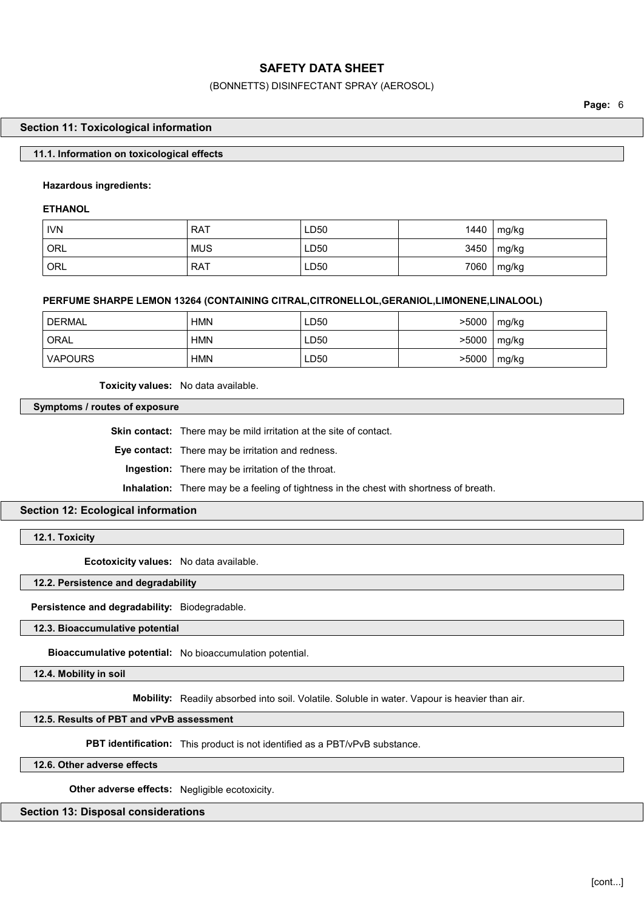## (BONNETTS) DISINFECTANT SPRAY (AEROSOL)

Page: 6

#### Section 11: Toxicological information

### 11.1. Information on toxicological effects

## Hazardous ingredients:

**ETHANOL** 

| <b>IVN</b>       | <b>RAT</b> | LD50 | 1440 | mg/kg |
|------------------|------------|------|------|-------|
| <sup>'</sup> ORL | <b>MUS</b> | LD50 | 3450 | mg/kg |
| ORL              | <b>RAT</b> | LD50 | 7060 | mg/kg |

## PERFUME SHARPE LEMON 13264 (CONTAINING CITRAL,CITRONELLOL,GERANIOL,LIMONENE,LINALOOL)

| DERMAL <sup>®</sup> | HMN | LD50 | >5000 | mg/kg |
|---------------------|-----|------|-------|-------|
| ORAL                | HMN | LD50 | >5000 | mg/kg |
| VAPOURS             | HMN | LD50 | >5000 | mg/kg |

Toxicity values: No data available.

Symptoms / routes of exposure

Skin contact: There may be mild irritation at the site of contact.

Eye contact: There may be irritation and redness.

Ingestion: There may be irritation of the throat.

Inhalation: There may be a feeling of tightness in the chest with shortness of breath.

## Section 12: Ecological information

12.1. Toxicity

Ecotoxicity values: No data available.

12.2. Persistence and degradability

Persistence and degradability: Biodegradable.

12.3. Bioaccumulative potential

Bioaccumulative potential: No bioaccumulation potential.

12.4. Mobility in soil

Mobility: Readily absorbed into soil. Volatile. Soluble in water. Vapour is heavier than air.

## 12.5. Results of PBT and vPvB assessment

**PBT identification:** This product is not identified as a PBT/vPvB substance.

12.6. Other adverse effects

Other adverse effects: Negligible ecotoxicity.

Section 13: Disposal considerations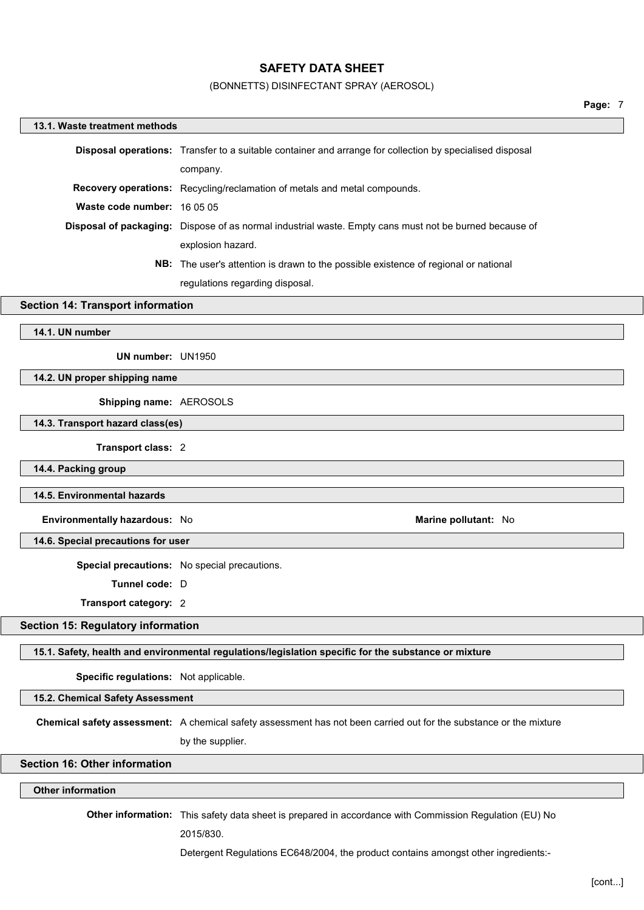#### (BONNETTS) DISINFECTANT SPRAY (AEROSOL)

# 13.1. Waste treatment methods Disposal operations: Transfer to a suitable container and arrange for collection by specialised disposal company. Recovery operations: Recycling/reclamation of metals and metal compounds. Waste code number: 16 05 05 Disposal of packaging: Dispose of as normal industrial waste. Empty cans must not be burned because of explosion hazard. NB: The user's attention is drawn to the possible existence of regional or national regulations regarding disposal. Section 14: Transport information 14.1. UN number UN number: UN1950 14.2. UN proper shipping name Shipping name: AEROSOLS 14.3. Transport hazard class(es) Transport class: 2 14.4. Packing group 14.5. Environmental hazards Environmentally hazardous: No **Marine pollutant: No Marine pollutant:** No 14.6. Special precautions for user Special precautions: No special precautions. Tunnel code: D Transport category: 2 Section 15: Regulatory information 15.1. Safety, health and environmental regulations/legislation specific for the substance or mixture Specific regulations: Not applicable. 15.2. Chemical Safety Assessment Chemical safety assessment: A chemical safety assessment has not been carried out for the substance or the mixture by the supplier. Section 16: Other information Other information Other information: This safety data sheet is prepared in accordance with Commission Regulation (EU) No

2015/830.

Detergent Regulations EC648/2004, the product contains amongst other ingredients:-